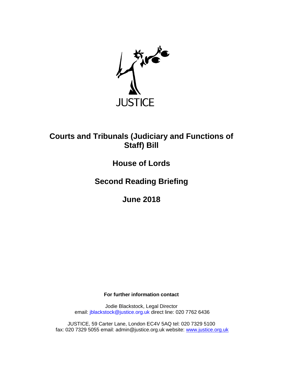

# **Courts and Tribunals (Judiciary and Functions of Staff) Bill**

# **House of Lords**

**Second Reading Briefing**

**June 2018**

**For further information contact**

Jodie Blackstock, Legal Director email: jblackstock@justice.org.uk direct line: 020 7762 6436

JUSTICE, 59 Carter Lane, London EC4V 5AQ tel: 020 7329 5100 fax: 020 7329 5055 email: admin@justice.org.uk website: [www.justice.org.uk](http://www.justice.org.uk/)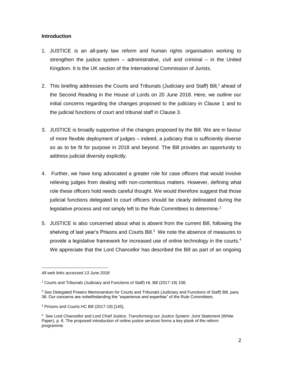### **Introduction**

- 1. JUSTICE is an all-party law reform and human rights organisation working to strengthen the justice system – administrative, civil and criminal – in the United Kingdom. It is the UK section of the International Commission of Jurists.
- 2. This briefing addresses the Courts and Tribunals (Judiciary and Staff) Bill,<sup>1</sup> ahead of the Second Reading in the House of Lords on 20 June 2018. Here, we outline our initial concerns regarding the changes proposed to the judiciary in Clause 1 and to the judicial functions of court and tribunal staff in Clause 3.
- 3. JUSTICE is broadly supportive of the changes proposed by the Bill. We are in favour of more flexible deployment of judges – indeed, a judiciary that is sufficiently diverse so as to be fit for purpose in 2018 and beyond. The Bill provides an opportunity to address judicial diversity explicitly.
- 4. Further, we have long advocated a greater role for case officers that would involve relieving judges from dealing with non-contentious matters. However, defining what role these officers hold needs careful thought. We would therefore suggest that those judicial functions delegated to court officers should be clearly delineated during the legislative process and not simply left to the Rule Committees to determine.<sup>2</sup>
- 5. JUSTICE is also concerned about what is absent from the current Bill, following the shelving of last year's Prisons and Courts Bill.<sup>3</sup> We note the absence of measures to provide a legislative framework for increased use of online technology in the courts.<sup>4</sup> We appreciate that the Lord Chancellor has described the Bill as part of an ongoing

 $\overline{a}$ *All web links accessed 13 June 2018*

<sup>1</sup> Courts and Tribunals (Judiciary and Functions of Staff) HL Bill (2017-19) 108.

<sup>&</sup>lt;sup>2</sup> See Delegated Powers Memorandum for Courts and Tribunals (Judiciary and Functions of Staff) Bill, para 36. Our concerns are notwithstanding the "experience and expertise" of the Rule Committees.

<sup>3</sup> Prisons and Courts HC Bill (2017-19) [145].

<sup>4</sup> See Lord Chancellor and Lord Chief Justice, *Transforming our Justice System: Joint Statement* (White Paper), p. 6. The proposed introduction of online justice services forms a key plank of the reform programme.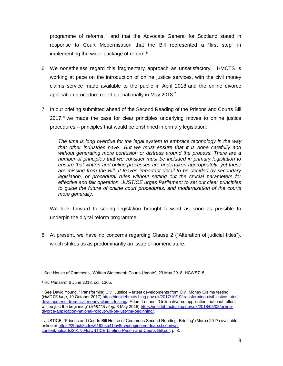programme of reforms, <sup>5</sup> and that the Advocate General for Scotland stated in response to Court Modernisation that the Bill represented a "first step" in implementing the wider package of reform.<sup>6</sup>

- 6. We nonetheless regard this fragmentary approach as unsatisfactory. HMCTS is working at pace on the introduction of online justice services, with the civil money claims service made available to the public in April 2018 and the online divorce application procedure rolled out nationally in May 2018.<sup>7</sup>
- 7. In our briefing submitted ahead of the Second Reading of the Prisons and Courts Bill  $2017<sup>8</sup>$  we made the case for clear principles underlying moves to online justice procedures – principles that would be enshrined in primary legislation:

*The time is long overdue for the legal system to embrace technology in the way that other industries have…But we must ensure that it is done carefully and without generating more confusion or distress around the process. There are a number of principles that we consider must be included in primary legislation to ensure that written and online processes are undertaken appropriately, yet these are missing from the Bill. It leaves important detail to be decided by secondary legislation, or procedural rules without setting out the crucial parameters for effective and fair operation. JUSTICE urges Parliament to set out clear principles to guide the future of online court procedures, and modernisation of the courts more generally*.

We look forward to seeing legislation brought forward as soon as possible to underpin the digital reform programme.

8. At present, we have no concerns regarding Clause 2 ("Alteration of judicial titles"), which strikes us as predominantly an issue of nomenclature.

 $\overline{a}$ <sup>5</sup> See House of Commons, 'Written Statement: Courts Update', 23 May 2018, HCWS715.

<sup>6</sup> HL *Hansard*, 6 June 2018, col. 1305.

 $7$  See David Young, 'Transforming Civil Justice – latest developments from Civil Money Claims testing' (*HMCTS blog*, 19 October 2017) [https://insidehmcts.blog.gov.uk/2017/10/19/transforming-civil-justice-latest](https://insidehmcts.blog.gov.uk/2017/10/19/transforming-civil-justice-latest-developments-from-civil-money-claims-testing/)[developments-from-civil-money-claims-testing/;](https://insidehmcts.blog.gov.uk/2017/10/19/transforming-civil-justice-latest-developments-from-civil-money-claims-testing/) Adam Lennon, 'Online divorce application: national rollout will be just the beginning' (*HMCTS blog,* 8 May 2018[\) https://insidehmcts.blog.gov.uk/2018/05/08/online](https://insidehmcts.blog.gov.uk/2018/05/08/online-divorce-application-national-rollout-will-be-just-the-beginning/)[divorce-application-national-rollout-will-be-just-the-beginning/.](https://insidehmcts.blog.gov.uk/2018/05/08/online-divorce-application-national-rollout-will-be-just-the-beginning/)

<sup>8</sup> JUSTICE, 'Prisons and Courts Bill House of Commons Second Reading: Briefing' (March 2017) available online a[t https://2bquk8cdew6192tsu41lay8t-wpengine.netdna-ssl.com/wp](https://2bquk8cdew6192tsu41lay8t-wpengine.netdna-ssl.com/wp-content/uploads/2017/04/JUSTICE-briefing-Prison-and-Courts-Bill.pdf)[content/uploads/2017/04/JUSTICE-briefing-Prison-and-Courts-Bill.pdf,](https://2bquk8cdew6192tsu41lay8t-wpengine.netdna-ssl.com/wp-content/uploads/2017/04/JUSTICE-briefing-Prison-and-Courts-Bill.pdf) p. 3.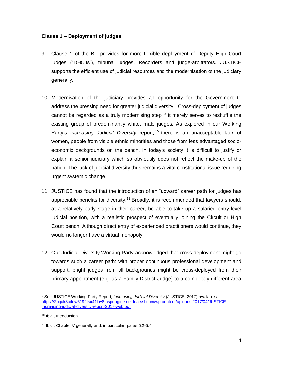### **Clause 1 – Deployment of judges**

- 9. Clause 1 of the Bill provides for more flexible deployment of Deputy High Court judges ("DHCJs"), tribunal judges, Recorders and judge-arbitrators. JUSTICE supports the efficient use of judicial resources and the modernisation of the judiciary generally.
- 10. Modernisation of the judiciary provides an opportunity for the Government to address the pressing need for greater judicial diversity. <sup>9</sup> Cross-deployment of judges cannot be regarded as a truly modernising step if it merely serves to reshuffle the existing group of predominantly white, male judges. As explored in our Working Party's *Increasing Judicial Diversity* report, <sup>10</sup> there is an unacceptable lack of women, people from visible ethnic minorities and those from less advantaged socioeconomic backgrounds on the bench. In today's society it is difficult to justify or explain a senior judiciary which so obviously does not reflect the make-up of the nation. The lack of judicial diversity thus remains a vital constitutional issue requiring urgent systemic change.
- 11. JUSTICE has found that the introduction of an "upward" career path for judges has appreciable benefits for diversity.<sup>11</sup> Broadly, it is recommended that lawyers should, at a relatively early stage in their career, be able to take up a salaried entry-level judicial position, with a realistic prospect of eventually joining the Circuit or High Court bench. Although direct entry of experienced practitioners would continue, they would no longer have a virtual monopoly.
- 12. Our Judicial Diversity Working Party acknowledged that cross-deployment might go towards such a career path: with proper continuous professional development and support, bright judges from all backgrounds might be cross-deployed from their primary appointment (e.g. as a Family District Judge) to a completely different area

 $\overline{a}$ <sup>9</sup> See JUSTICE Working Party Report, *Increasing Judicial Diversity* (JUSTICE, 2017) available at [https://2bquk8cdew6192tsu41lay8t-wpengine.netdna-ssl.com/wp-content/uploads/2017/04/JUSTICE-](https://2bquk8cdew6192tsu41lay8t-wpengine.netdna-ssl.com/wp-content/uploads/2017/04/JUSTICE-Increasing-judicial-diversity-report-2017-web.pdf)[Increasing-judicial-diversity-report-2017-web.pdf.](https://2bquk8cdew6192tsu41lay8t-wpengine.netdna-ssl.com/wp-content/uploads/2017/04/JUSTICE-Increasing-judicial-diversity-report-2017-web.pdf)

<sup>10</sup> Ibid., Introduction.

<sup>11</sup> Ibid., Chapter V generally and, in particular, paras 5.2-5.4.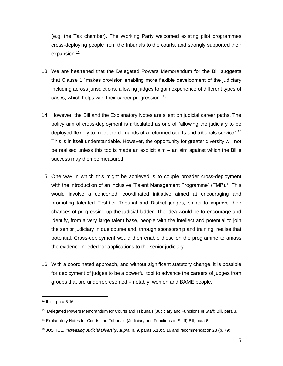(e.g. the Tax chamber). The Working Party welcomed existing pilot programmes cross-deploying people from the tribunals to the courts, and strongly supported their expansion.<sup>12</sup>

- 13. We are heartened that the Delegated Powers Memorandum for the Bill suggests that Clause 1 "makes provision enabling more flexible development of the judiciary including across jurisdictions, allowing judges to gain experience of different types of cases, which helps with their career progression".<sup>13</sup>
- 14. However, the Bill and the Explanatory Notes are silent on judicial career paths. The policy aim of cross-deployment is articulated as one of "allowing the judiciary to be deployed flexibly to meet the demands of a reformed courts and tribunals service".<sup>14</sup> This is in itself understandable. However, the opportunity for greater diversity will not be realised unless this too is made an explicit aim – an aim against which the Bill's success may then be measured.
- 15. One way in which this might be achieved is to couple broader cross-deployment with the introduction of an inclusive "Talent Management Programme" (TMP).<sup>15</sup> This would involve a concerted, coordinated initiative aimed at encouraging and promoting talented First-tier Tribunal and District judges, so as to improve their chances of progressing up the judicial ladder. The idea would be to encourage and identify, from a very large talent base, people with the intellect and potential to join the senior judiciary in due course and, through sponsorship and training, realise that potential. Cross-deployment would then enable those on the programme to amass the evidence needed for applications to the senior judiciary.
- 16. With a coordinated approach, and without significant statutory change, it is possible for deployment of judges to be a powerful tool to advance the careers of judges from groups that are underrepresented – notably, women and BAME people.

 $12$  Ibid., para 5.16.

<sup>&</sup>lt;sup>13</sup> Delegated Powers Memorandum for Courts and Tribunals (Judiciary and Functions of Staff) Bill, para 3.

<sup>&</sup>lt;sup>14</sup> Explanatory Notes for Courts and Tribunals (Judiciary and Functions of Staff) Bill, para 6.

<sup>15</sup> JUSTICE, *Increasing Judicial Diversity*, *supra.* n. 9, paras 5.10; 5.16 and recommendation 23 (p. 79).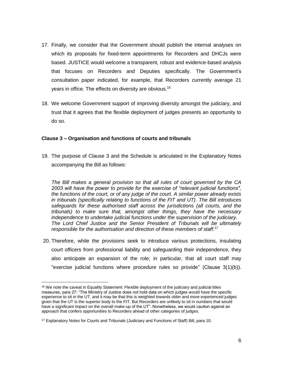- 17. Finally, we consider that the Government should publish the internal analyses on which its proposals for fixed-term appointments for Recorders and DHCJs were based. JUSTICE would welcome a transparent, robust and evidence-based analysis that focuses on Recorders and Deputies specifically. The Government's consultation paper indicated, for example, that Recorders currently average 21 years in office. The effects on diversity are obvious.<sup>16</sup>
- 18. We welcome Government support of improving diversity amongst the judiciary, and trust that it agrees that the flexible deployment of judges presents an opportunity to do so.

### **Clause 3 – Organisation and functions of courts and tribunals**

19. The purpose of Clause 3 and the Schedule is articulated in the Explanatory Notes accompanying the Bill as follows:

*The Bill makes a general provision so that all rules of court governed by the CA 2003 will have the power to provide for the exercise of "relevant judicial functions", the functions of the court, or of any judge of the court. A similar power already exists in tribunals (specifically relating to functions of the FtT and UT). The Bill introduces safeguards for these authorised staff across the jurisdictions (all courts, and the tribunals) to make sure that, amongst other things, they have the necessary independence to undertake judicial functions under the supervision of the judiciary. The Lord Chief Justice and the Senior President of Tribunals will be ultimately responsible for the authorisation and direction of these members of staff*. 17

20. Therefore, while the provisions seek to introduce various protections, insulating court officers from professional liability and safeguarding their independence, they also anticipate an expansion of the role; in particular, that all court staff may "exercise judicial functions where procedure rules so provide" (Clause 3(1)(b)).

 $\overline{a}$ <sup>16</sup> We note the caveat in Equality Statement: Flexible deployment of the judiciary and judicial titles measures, para 27: "The Ministry of Justice does not hold data on which judges would have the specific experience to sit in the UT, and it may be that this is weighted towards older and more experienced judges given that the UT is the superior body to the FtT. But Recorders are unlikely to sit in numbers that would have a significant impact on the overall make-up of the UT". Nonetheless, we would caution against an approach that confers opportunities to Recorders ahead of other categories of judges.

<sup>17</sup> Explanatory Notes for Courts and Tribunals (Judiciary and Functions of Staff) Bill, para 10.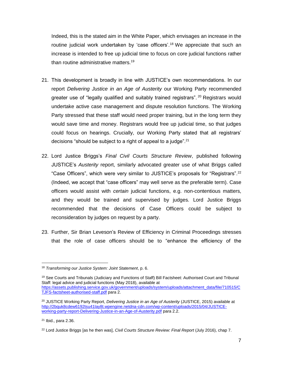Indeed, this is the stated aim in the White Paper, which envisages an increase in the routine judicial work undertaken by 'case officers'.<sup>18</sup> We appreciate that such an increase is intended to free up judicial time to focus on core judicial functions rather than routine administrative matters.<sup>19</sup>

- 21. This development is broadly in line with JUSTICE's own recommendations. In our report *Delivering Justice in an Age of Austerity* our Working Party recommended greater use of "legally qualified and suitably trained registrars". <sup>20</sup> Registrars would undertake active case management and dispute resolution functions. The Working Party stressed that these staff would need proper training, but in the long term they would save time and money. Registrars would free up judicial time, so that judges could focus on hearings. Crucially, our Working Party stated that all registrars' decisions "should be subject to a right of appeal to a judge".<sup>21</sup>
- 22. Lord Justice Briggs's *Final Civil Courts Structure Review*, published following JUSTICE's *Austerity* report, similarly advocated greater use of what Briggs called "Case Officers", which were very similar to JUSTICE's proposals for "Registrars".<sup>22</sup> (Indeed, we accept that "case officers" may well serve as the preferable term). Case officers would assist with *certain* judicial functions, e.g. non-contentious matters, and they would be trained and supervised by judges. Lord Justice Briggs recommended that the decisions of Case Officers could be subject to reconsideration by judges on request by a party.
- 23. Further, Sir Brian Leveson's Review of Efficiency in Criminal Proceedings stresses that the role of case officers should be to "enhance the efficiency of the

 $\overline{a}$ <sup>18</sup> *Transforming our Justice System: Joint Statement*, p. 6.

<sup>&</sup>lt;sup>19</sup> See Courts and Tribunals (Judiciary and Functions of Staff) Bill Factsheet: Authorised Court and Tribunal Staff: legal advice and judicial functions (May 2018), available at [https://assets.publishing.service.gov.uk/government/uploads/system/uploads/attachment\\_data/file/710515/C](https://assets.publishing.service.gov.uk/government/uploads/system/uploads/attachment_data/file/710515/CTJFS-factsheet-authorised-staff.pdf) [TJFS-factsheet-authorised-staff.pdf](https://assets.publishing.service.gov.uk/government/uploads/system/uploads/attachment_data/file/710515/CTJFS-factsheet-authorised-staff.pdf) para 2.

<sup>20</sup> JUSTICE Working Party Report, *Delivering Justice in an Age of Austerity* (JUSTICE, 2015) available at [http://2bquk8cdew6192tsu41lay8t.wpengine.netdna-cdn.com/wp-content/uploads/2015/04/JUSTICE](http://2bquk8cdew6192tsu41lay8t.wpengine.netdna-cdn.com/wp-content/uploads/2015/04/JUSTICE-working-party-report-Delivering-Justice-in-an-Age-of-Austerity.pdf)[working-party-report-Delivering-Justice-in-an-Age-of-Austerity.pdf](http://2bquk8cdew6192tsu41lay8t.wpengine.netdna-cdn.com/wp-content/uploads/2015/04/JUSTICE-working-party-report-Delivering-Justice-in-an-Age-of-Austerity.pdf) para 2.2.

 $21$  Ibid., para 2.36.

<sup>22</sup> Lord Justice Briggs [as he then was], *Civil Courts Structure Review: Final Report* (July 2016), chap 7.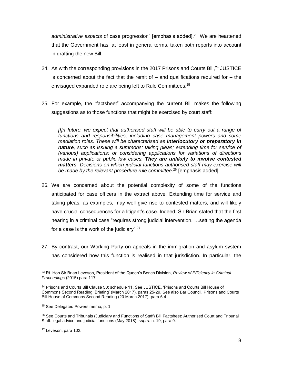administrative aspects of case progression" [emphasis added].<sup>23</sup> We are heartened that the Government has, at least in general terms, taken both reports into account in drafting the new Bill.

- 24. As with the corresponding provisions in the 2017 Prisons and Courts Bill,  $^{24}$  JUSTICE is concerned about the fact that the remit of  $-$  and qualifications required for  $-$  the envisaged expanded role are being left to Rule Committees.<sup>25</sup>
- 25. For example, the "factsheet" accompanying the current Bill makes the following suggestions as to those functions that might be exercised by court staff:

*[I]n future, we expect that authorised staff will be able to carry out a range of functions and responsibilities, including case management powers and some mediation roles. These will be characterised as interlocutory or preparatory in nature, such as issuing a summons; taking pleas; extending time for service of (various) applications; or considering applications for variations of directions made in private or public law cases. They are unlikely to involve contested matters. Decisions on which judicial functions authorised staff may exercise will be made by the relevant procedure rule committee.*<sup>26</sup> [emphasis added]

- 26. We are concerned about the potential complexity of some of the functions anticipated for case officers in the extract above. Extending time for service and taking pleas, as examples, may well give rise to contested matters, and will likely have crucial consequences for a litigant's case. Indeed, Sir Brian stated that the first hearing in a criminal case "requires strong judicial intervention. ... setting the agenda for a case is the work of the judiciary".<sup>27</sup>
- 27. By contrast, our Working Party on appeals in the immigration and asylum system has considered how this function is realised in that jurisdiction. In particular, the

<sup>23</sup> Rt. Hon Sir Brian Leveson, President of the Queen's Bench Division, *Review of Efficiency in Criminal Proceedings* (2015) para 117.

<sup>&</sup>lt;sup>24</sup> Prisons and Courts Bill Clause 50; schedule 11. See JUSTICE, 'Prisons and Courts Bill House of Commons Second Reading: Briefing' (March 2017), paras 25-29. See also Bar Council, Prisons and Courts Bill House of Commons Second Reading (20 March 2017), para 6.4.

<sup>&</sup>lt;sup>25</sup> See Delegated Powers memo, p. 1.

<sup>&</sup>lt;sup>26</sup> See Courts and Tribunals (Judiciary and Functions of Staff) Bill Factsheet: Authorised Court and Tribunal Staff: legal advice and judicial functions (May 2018), *supra.* n. 19, para 9.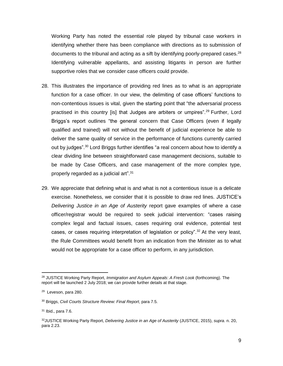Working Party has noted the essential role played by tribunal case workers in identifying whether there has been compliance with directions as to submission of documents to the tribunal and acting as a sift by identifying poorly-prepared cases.<sup>28</sup> Identifying vulnerable appellants, and assisting litigants in person are further supportive roles that we consider case officers could provide.

- 28. This illustrates the importance of providing red lines as to what is an appropriate function for a case officer. In our view, the delimiting of case officers' functions to non-contentious issues is vital, given the starting point that "the adversarial process practised in this country [is] that Judges are arbiters or umpires".<sup>29</sup> Further, Lord Briggs's report outlines "the general concern that Case Officers (even if legally qualified and trained) will not without the benefit of judicial experience be able to deliver the same quality of service in the performance of functions currently carried out by judges".<sup>30</sup> Lord Briggs further identifies "a real concern about how to identify a clear dividing line between straightforward case management decisions, suitable to be made by Case Officers, and case management of the more complex type, properly regarded as a judicial art".<sup>31</sup>
- 29. We appreciate that defining what is and what is not a contentious issue is a delicate exercise. Nonetheless, we consider that it is possible to draw red lines. JUSTICE's *Delivering Justice in an Age of Austerity* report gave examples of where a case officer/registrar would be required to seek judicial intervention: "cases raising complex legal and factual issues, cases requiring oral evidence, potential test cases, or cases requiring interpretation of legislation or policy".<sup>32</sup> At the very least, the Rule Committees would benefit from an indication from the Minister as to what would not be appropriate for a case officer to perform, in any jurisdiction.

<sup>28</sup> JUSTICE Working Party Report, *Immigration and Asylum Appeals*: *A Fresh Look* (forthcoming). The report will be launched 2 July 2018; we can provide further details at that stage.

<sup>&</sup>lt;sup>29</sup> Leveson, para 280.

<sup>30</sup> Briggs, *Civil Courts Structure Review: Final Report*, para 7.5.

<sup>31</sup> Ibid., para 7.6.

<sup>32</sup>JUSTICE Working Party Report, *Delivering Justice in an Age of Austerity* (JUSTICE, 2015), *supra.* n. 20, para 2.23.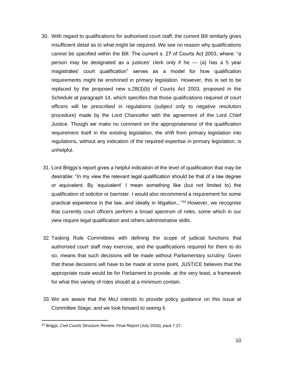- 30. With regard to qualifications for authorised court staff, the current Bill similarly gives insufficient detail as to what might be required. We see no reason why qualifications cannot be specified within the Bill. The current s. 27 of Courts Act 2003, where: "a person may be designated as a justices' clerk only if he  $-$  (a) has a 5 year magistrates' court qualification" serves as a model for how qualification requirements might be enshrined in primary legislation. However, this is set to be replaced by the proposed new s.28(3)(b) of Courts Act 2003, proposed in the Schedule at paragraph 14, which specifies that those qualifications required of court officers will be prescribed in regulations (subject only to negative resolution procedure) made by the Lord Chancellor with the agreement of the Lord Chief Justice. Though we make no comment on the appropriateness of the qualification requirement itself in the existing legislation, the shift from primary legislation into regulations, without any indication of the required expertise in primary legislation, is unhelpful.
- 31. Lord Briggs's report gives a helpful indication of the level of qualification that may be desirable: "In my view the relevant legal qualification should be that of a law degree or equivalent. By 'equivalent' I mean something like (but not limited to) the qualification of solicitor or barrister. I would also recommend a requirement for some practical experience in the law, and ideally in litigation..."<sup>33</sup> However, we recognise that currently court officers perform a broad spectrum of roles, some which in our view require legal qualification and others administrative skills.
- 32. Tasking Rule Committees with defining the scope of judicial functions that authorised court staff may exercise, and the qualifications required for them to do so, means that such decisions will be made without Parliamentary scrutiny. Given that these decisions will have to be made at some point, JUSTICE believes that the appropriate route would be for Parliament to provide, at the very least, a framework for what this variety of roles should at a minimum contain.
- 33. We are aware that the MoJ intends to provide policy guidance on this issue at Committee Stage, and we look forward to seeing it.

<sup>33</sup> Briggs, *Civil Courts Structure Review: Final Report* (July 2016), para 7.27.